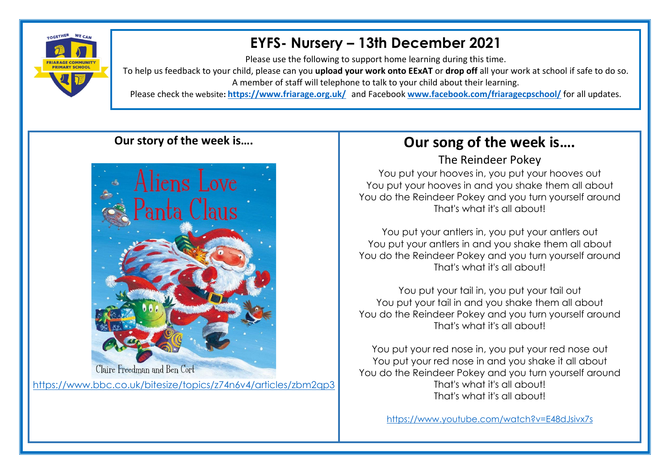

## **EYFS- Nursery – 13th December 2021**

Please use the following to support home learning during this time.

To help us feedback to your child, please can you **upload your work onto EExAT** or **drop off** all your work at school if safe to do so. A member of staff will telephone to talk to your child about their learning.

Please check the website**: <https://www.friarage.org.uk/>** and Facebook **[www.facebook.com/friaragecpschool/](http://www.facebook.com/friaragecpschool/)** for all updates.

## **Our story of the week is….**



<https://www.bbc.co.uk/bitesize/topics/z74n6v4/articles/zbm2qp3>

## **Our song of the week is….**

The Reindeer Pokey

You put your hooves in, you put your hooves out You put your hooves in and you shake them all about You do the Reindeer Pokey and you turn yourself around That's what it's all about!

You put your antlers in, you put your antlers out You put your antlers in and you shake them all about You do the Reindeer Pokey and you turn yourself around That's what it's all about!

You put your tail in, you put your tail out You put your tail in and you shake them all about You do the Reindeer Pokey and you turn yourself around That's what it's all about!

You put your red nose in, you put your red nose out You put your red nose in and you shake it all about You do the Reindeer Pokey and you turn yourself around That's what it's all about! That's what it's all about!

<https://www.youtube.com/watch?v=E48dJsivx7s>